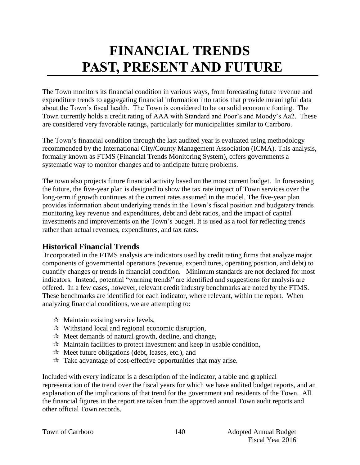# **FINANCIAL TRENDS PAST, PRESENT AND FUTURE**

The Town monitors its financial condition in various ways, from forecasting future revenue and expenditure trends to aggregating financial information into ratios that provide meaningful data about the Town's fiscal health. The Town is considered to be on solid economic footing. The Town currently holds a credit rating of AAA with Standard and Poor's and Moody's Aa2. These are considered very favorable ratings, particularly for municipalities similar to Carrboro.

The Town's financial condition through the last audited year is evaluated using methodology recommended by the International City/County Management Association (ICMA). This analysis, formally known as FTMS (Financial Trends Monitoring System), offers governments a systematic way to monitor changes and to anticipate future problems.

The town also projects future financial activity based on the most current budget. In forecasting the future, the five-year plan is designed to show the tax rate impact of Town services over the long-term if growth continues at the current rates assumed in the model. The five-year plan provides information about underlying trends in the Town's fiscal position and budgetary trends monitoring key revenue and expenditures, debt and debt ratios, and the impact of capital investments and improvements on the Town's budget. It is used as a tool for reflecting trends rather than actual revenues, expenditures, and tax rates.

# **Historical Financial Trends**

Incorporated in the FTMS analysis are indicators used by credit rating firms that analyze major components of governmental operations (revenue, expenditures, operating position, and debt) to quantify changes or trends in financial condition. Minimum standards are not declared for most indicators. Instead, potential "warning trends" are identified and suggestions for analysis are offered. In a few cases, however, relevant credit industry benchmarks are noted by the FTMS. These benchmarks are identified for each indicator, where relevant, within the report. When analyzing financial conditions, we are attempting to:

- $\forall$  Maintain existing service levels,
- $\mathcal{R}$  Withstand local and regional economic disruption,
- $\mathcal{R}$  Meet demands of natural growth, decline, and change,
- $\mathcal{R}$  Maintain facilities to protect investment and keep in usable condition,
- $\mathcal{R}$  Meet future obligations (debt, leases, etc.), and
- $\mathcal{R}$  Take advantage of cost-effective opportunities that may arise.

Included with every indicator is a description of the indicator, a table and graphical representation of the trend over the fiscal years for which we have audited budget reports, and an explanation of the implications of that trend for the government and residents of the Town. All the financial figures in the report are taken from the approved annual Town audit reports and other official Town records.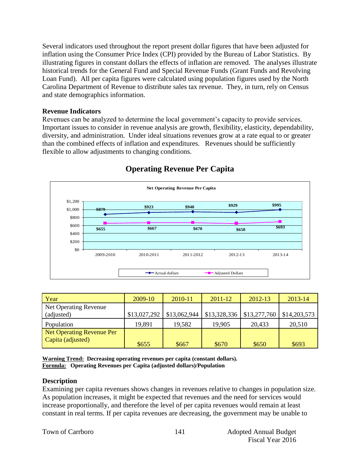Several indicators used throughout the report present dollar figures that have been adjusted for inflation using the Consumer Price Index (CPI) provided by the Bureau of Labor Statistics. By illustrating figures in constant dollars the effects of inflation are removed. The analyses illustrate historical trends for the General Fund and Special Revenue Funds (Grant Funds and Revolving Loan Fund). All per capita figures were calculated using population figures used by the North Carolina Department of Revenue to distribute sales tax revenue. They, in turn, rely on Census and state demographics information.

#### **Revenue Indicators**

Revenues can be analyzed to determine the local government's capacity to provide services. Important issues to consider in revenue analysis are growth, flexibility, elasticity, dependability, diversity, and administration. Under ideal situations revenues grow at a rate equal to or greater than the combined effects of inflation and expenditures. Revenues should be sufficiently flexible to allow adjustments to changing conditions.



# **Operating Revenue Per Capita**

| Year                             | $2009-10$    | 2010-11      | $2011 - 12$  | 2012-13      | 2013-14      |
|----------------------------------|--------------|--------------|--------------|--------------|--------------|
| Net Operating Revenue            |              |              |              |              |              |
| (adjusted)                       | \$13,027,292 | \$13,062,944 | \$13,328,336 | \$13,277,760 | \$14,203,573 |
| Population                       | 19,891       | 19,582       | 19,905       | 20,433       | 20,510       |
| <b>Net Operating Revenue Per</b> |              |              |              |              |              |
| Capita (adjusted)                | \$655        | \$667        | \$670        | \$650        | \$693        |

**Warning Trend: Decreasing operating revenues per capita (constant dollars). Formula: Operating Revenues per Capita (adjusted dollars)/Population**

#### **Description**

Examining per capita revenues shows changes in revenues relative to changes in population size. As population increases, it might be expected that revenues and the need for services would increase proportionally, and therefore the level of per capita revenues would remain at least constant in real terms. If per capita revenues are decreasing, the government may be unable to

|  |  | <b>Town of Carrboro</b> |
|--|--|-------------------------|
|--|--|-------------------------|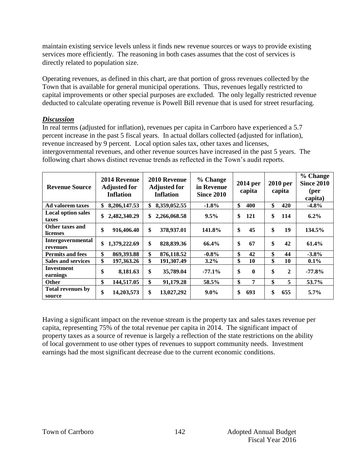maintain existing service levels unless it finds new revenue sources or ways to provide existing services more efficiently. The reasoning in both cases assumes that the cost of services is directly related to population size.

Operating revenues, as defined in this chart, are that portion of gross revenues collected by the Town that is available for general municipal operations. Thus, revenues legally restricted to capital improvements or other special purposes are excluded. The only legally restricted revenue deducted to calculate operating revenue is Powell Bill revenue that is used for street resurfacing.

#### *Discussion*

In real terms (adjusted for inflation), revenues per capita in Carrboro have experienced a 5.7 percent increase in the past 5 fiscal years. In actual dollars collected (adjusted for inflation), revenue increased by 9 percent. Local option sales tax, other taxes and licenses, intergovernmental revenues, and other revenue sources have increased in the past 5 years. The following chart shows distinct revenue trends as reflected in the Town's audit reports.

| <b>Revenue Source</b>              | 2014 Revenue<br><b>Adjusted for</b><br><b>Inflation</b> | 2010 Revenue<br><b>Adjusted for</b><br><b>Inflation</b> | % Change<br>in Revenue<br><b>Since 2010</b> | 2014 per<br>capita | 2010 per<br>capita | % Change<br><b>Since 2010</b><br>(per<br>capita) |
|------------------------------------|---------------------------------------------------------|---------------------------------------------------------|---------------------------------------------|--------------------|--------------------|--------------------------------------------------|
| Ad valorem taxes                   | \$<br>8,206,147.53                                      | 8,359,052.55<br>\$                                      | $-1.8%$                                     | \$<br>400          | \$<br>420          | $-4.8%$                                          |
| <b>Local option sales</b><br>taxes | \$<br>2,482,340.29                                      | 2,266,068.58<br>\$                                      | $9.5\%$                                     | \$<br>121          | \$<br>114          | $6.2\%$                                          |
| Other taxes and<br>licenses        | \$<br>916,406.40                                        | \$<br>378,937.01                                        | 141.8%                                      | \$<br>45           | \$<br>19           | 134.5%                                           |
| Intergovernmental<br>revenues      | \$<br>1,379,222.69                                      | \$<br>828,839.36                                        | 66.4%                                       | \$<br>67           | \$<br>42           | 61.4%                                            |
| <b>Permits and fees</b>            | \$<br>869,393.88                                        | \$<br>876,118.52                                        | $-0.8\%$                                    | \$<br>42           | \$<br>44           | $-3.8\%$                                         |
| <b>Sales and services</b>          | \$<br>197,363.26                                        | \$<br>191,307.49                                        | $3.2\%$                                     | \$<br>10           | \$<br>10           | $0.1\%$                                          |
| <b>Investment</b><br>earnings      | \$<br>8,181.63                                          | \$<br>35,789.04                                         | $-77.1%$                                    | \$<br>$\mathbf{0}$ | \$<br>$\mathbf{2}$ | $-77.8\%$                                        |
| <b>Other</b>                       | \$<br>144,517.05                                        | \$<br>91,179.28                                         | 58.5%                                       | \$<br>7            | \$<br>5            | 53.7%                                            |
| <b>Total revenues by</b><br>source | \$<br>14,203,573                                        | \$<br>13,027,292                                        | $9.0\%$                                     | \$<br>693          | \$<br>655          | $5.7\%$                                          |

Having a significant impact on the revenue stream is the property tax and sales taxes revenue per capita, representing 75% of the total revenue per capita in 2014. The significant impact of property taxes as a source of revenue is largely a reflection of the state restrictions on the ability of local government to use other types of revenues to support community needs. Investment earnings had the most significant decrease due to the current economic conditions.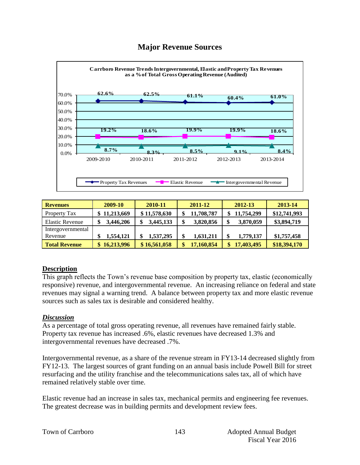# **Major Revenue Sources**



| <b>Revenues</b>        | 2009-10    | 2010-11      | 2011-12    | 2012-13         | 2013-14      |
|------------------------|------------|--------------|------------|-----------------|--------------|
| <b>Property Tax</b>    | 11,213,669 | \$11,578,630 | 11,708,787 | 11,754,299      | \$12,741,993 |
| <b>Elastic Revenue</b> | 3,446,206  | 3,445,133    | 3,820,856  | 3,870,059<br>\$ | \$3,894,719  |
| Intergovernmental      |            |              |            |                 |              |
| Revenue                | 1,554,121  | 1,537,295    | 1,631,211  | 1,779,137<br>¢  | \$1,757,458  |
| <b>Total Revenue</b>   | 16,213,996 | \$16,561,058 | 17,160,854 | 17,403,495      | \$18,394,170 |

#### **Description**

This graph reflects the Town's revenue base composition by property tax, elastic (economically responsive) revenue, and intergovernmental revenue. An increasing reliance on federal and state revenues may signal a warning trend. A balance between property tax and more elastic revenue sources such as sales tax is desirable and considered healthy.

#### *Discussion*

As a percentage of total gross operating revenue, all revenues have remained fairly stable. Property tax revenue has increased .6%, elastic revenues have decreased 1.3% and intergovernmental revenues have decreased .7%.

Intergovernmental revenue, as a share of the revenue stream in FY13-14 decreased slightly from FY12-13. The largest sources of grant funding on an annual basis include Powell Bill for street resurfacing and the utility franchise and the telecommunications sales tax, all of which have remained relatively stable over time.

Elastic revenue had an increase in sales tax, mechanical permits and engineering fee revenues. The greatest decrease was in building permits and development review fees.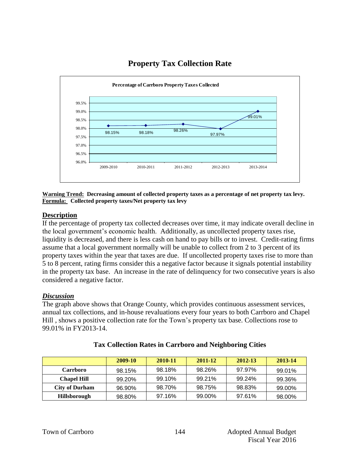

# **Property Tax Collection Rate**

**Warning Trend: Decreasing amount of collected property taxes as a percentage of net property tax levy. Formula: Collected property taxes/Net property tax levy**

#### **Description**

If the percentage of property tax collected decreases over time, it may indicate overall decline in the local government's economic health. Additionally, as uncollected property taxes rise, liquidity is decreased, and there is less cash on hand to pay bills or to invest. Credit-rating firms assume that a local government normally will be unable to collect from 2 to 3 percent of its property taxes within the year that taxes are due. If uncollected property taxes rise to more than 5 to 8 percent, rating firms consider this a negative factor because it signals potential instability in the property tax base. An increase in the rate of delinquency for two consecutive years is also considered a negative factor.

#### *Discussion*

The graph above shows that Orange County, which provides continuous assessment services, annual tax collections, and in-house revaluations every four years to both Carrboro and Chapel Hill , shows a positive collection rate for the Town's property tax base. Collections rose to 99.01% in FY2013-14.

|                       | <b>2009-10</b> | 2010-11 | 2011-12 | 2012-13 | 2013-14 |
|-----------------------|----------------|---------|---------|---------|---------|
| <b>Carrboro</b>       | 98.15%         | 98.18%  | 98.26%  | 97.97%  | 99.01%  |
| <b>Chapel Hill</b>    | 99.20%         | 99.10%  | 99.21%  | 99.24%  | 99.36%  |
| <b>City of Durham</b> | 96.90%         | 98.70%  | 98.75%  | 98.83%  | 99.00%  |
| <b>Hillsborough</b>   | 98.80%         | 97.16%  | 99.00%  | 97.61%  | 98.00%  |

#### **Tax Collection Rates in Carrboro and Neighboring Cities**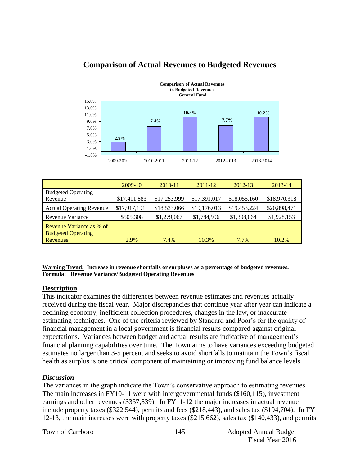

# **Comparison of Actual Revenues to Budgeted Revenues**

|                                                       | 2009-10      | 2010-11      | 2011-12      | 2012-13      | 2013-14      |
|-------------------------------------------------------|--------------|--------------|--------------|--------------|--------------|
| <b>Budgeted Operating</b><br>Revenue                  | \$17,411,883 | \$17,253,999 | \$17,391,017 | \$18,055,160 | \$18,970,318 |
| <b>Actual Operating Revenue</b>                       | \$17,917,191 | \$18,533,066 | \$19,176,013 | \$19,453,224 | \$20,898,471 |
| Revenue Variance                                      | \$505,308    | \$1,279,067  | \$1,784,996  | \$1,398,064  | \$1,928,153  |
| Revenue Variance as % of<br><b>Budgeted Operating</b> |              |              |              |              |              |
| Revenues                                              | 2.9%         | 7.4%         | 10.3%        | 7.7%         | 10.2%        |

**Warning Trend: Increase in revenue shortfalls or surpluses as a percentage of budgeted revenues. Formula: Revenue Variance/Budgeted Operating Revenues**

#### **Description**

This indicator examines the differences between revenue estimates and revenues actually received during the fiscal year. Major discrepancies that continue year after year can indicate a declining economy, inefficient collection procedures, changes in the law, or inaccurate estimating techniques. One of the criteria reviewed by Standard and Poor's for the quality of financial management in a local government is financial results compared against original expectations. Variances between budget and actual results are indicative of management's financial planning capabilities over time. The Town aims to have variances exceeding budgeted estimates no larger than 3-5 percent and seeks to avoid shortfalls to maintain the Town's fiscal health as surplus is one critical component of maintaining or improving fund balance levels.

#### *Discussion*

The variances in the graph indicate the Town's conservative approach to estimating revenues. The main increases in FY10-11 were with intergovernmental funds (\$160,115), investment earnings and other revenues (\$357,839). In FY11-12 the major increases in actual revenue include property taxes (\$322,544), permits and fees (\$218,443), and sales tax (\$194,704). In FY 12-13, the main increases were with property taxes (\$215,662), sales tax (\$140,433), and permits

Town of Carrboro 145 Adopted Annual Budget Fiscal Year 2016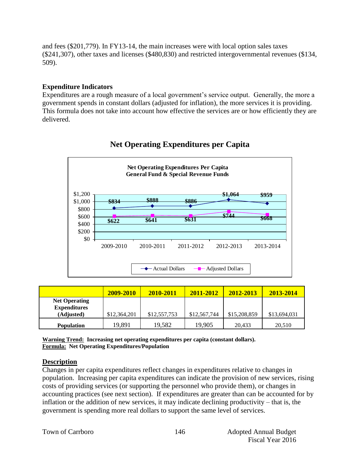and fees (\$201,779). In FY13-14, the main increases were with local option sales taxes (\$241,307), other taxes and licenses (\$480,830) and restricted intergovernmental revenues (\$134, 509).

#### **Expenditure Indicators**

Expenditures are a rough measure of a local government's service output. Generally, the more a government spends in constant dollars (adjusted for inflation), the more services it is providing. This formula does not take into account how effective the services are or how efficiently they are delivered.



# **Net Operating Expenditures per Capita**

|                                                           | 2009-2010    | 2010-2011    | 2011-2012    | 2012-2013    | 2013-2014    |
|-----------------------------------------------------------|--------------|--------------|--------------|--------------|--------------|
| <b>Net Operating</b><br><b>Expenditures</b><br>(Adjusted) | \$12,364,201 | \$12,557,753 | \$12,567,744 | \$15,208,859 | \$13,694,031 |
| <b>Population</b>                                         | 19,891       | 19,582       | 19,905       | 20.433       | 20,510       |

**Warning Trend: Increasing net operating expenditures per capita (constant dollars). Formula: Net Operating Expenditures/Population**

#### **Description**

Changes in per capita expenditures reflect changes in expenditures relative to changes in population. Increasing per capita expenditures can indicate the provision of new services, rising costs of providing services (or supporting the personnel who provide them), or changes in accounting practices (see next section). If expenditures are greater than can be accounted for by inflation or the addition of new services, it may indicate declining productivity – that is, the government is spending more real dollars to support the same level of services.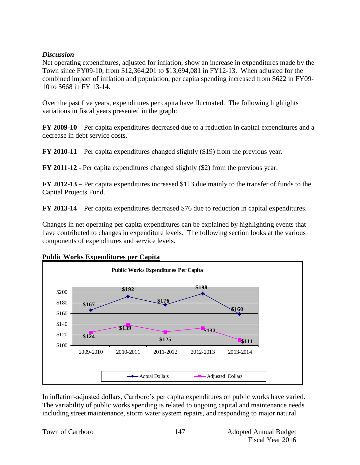#### *Discussion*

Net operating expenditures, adjusted for inflation, show an increase in expenditures made by the Town since FY09-10, from \$12,364,201 to \$13,694,081 in FY12-13. When adjusted for the combined impact of inflation and population, per capita spending increased from \$622 in FY09- 10 to \$668 in FY 13-14.

Over the past five years, expenditures per capita have fluctuated. The following highlights variations in fiscal years presented in the graph:

**FY 2009-10** – Per capita expenditures decreased due to a reduction in capital expenditures and a decrease in debt service costs.

**FY 2010-11** – Per capita expenditures changed slightly (\$19) from the previous year.

**FY 2011-12** - Per capita expenditures changed slightly (\$2) from the previous year.

**FY 2012-13 –** Per capita expenditures increased \$113 due mainly to the transfer of funds to the Capital Projects Fund.

**FY 2013-14** – Per capita expenditures decreased \$76 due to reduction in capital expenditures.

Changes in net operating per capita expenditures can be explained by highlighting events that have contributed to changes in expenditure levels. The following section looks at the various components of expenditures and service levels.



**Public Works Expenditures per Capita**

In inflation-adjusted dollars, Carrboro's per capita expenditures on public works have varied. The variability of public works spending is related to ongoing capital and maintenance needs including street maintenance, storm water system repairs, and responding to major natural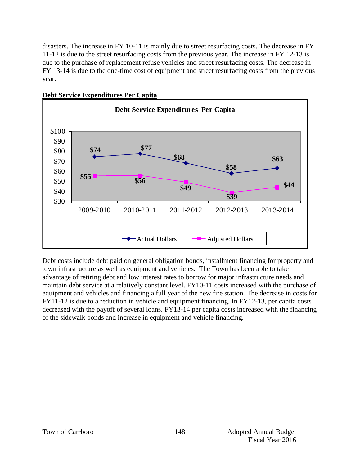disasters. The increase in FY 10-11 is mainly due to street resurfacing costs. The decrease in FY 11-12 is due to the street resurfacing costs from the previous year. The increase in FY 12-13 is due to the purchase of replacement refuse vehicles and street resurfacing costs. The decrease in FY 13-14 is due to the one-time cost of equipment and street resurfacing costs from the previous year.



#### **Debt Service Expenditures Per Capita**

Debt costs include debt paid on general obligation bonds, installment financing for property and town infrastructure as well as equipment and vehicles. The Town has been able to take advantage of retiring debt and low interest rates to borrow for major infrastructure needs and maintain debt service at a relatively constant level. FY10-11 costs increased with the purchase of equipment and vehicles and financing a full year of the new fire station. The decrease in costs for FY11-12 is due to a reduction in vehicle and equipment financing. In FY12-13, per capita costs decreased with the payoff of several loans. FY13-14 per capita costs increased with the financing of the sidewalk bonds and increase in equipment and vehicle financing.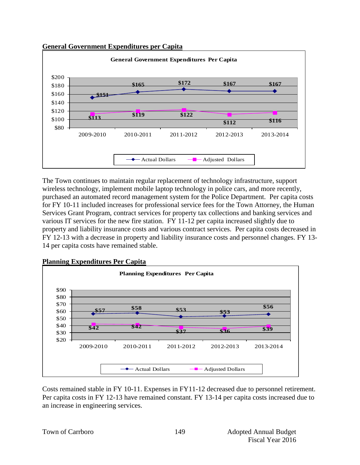



The Town continues to maintain regular replacement of technology infrastructure, support wireless technology, implement mobile laptop technology in police cars, and more recently, purchased an automated record management system for the Police Department. Per capita costs for FY 10-11 included increases for professional service fees for the Town Attorney, the Human Services Grant Program, contract services for property tax collections and banking services and various IT services for the new fire station. FY 11-12 per capita increased slightly due to property and liability insurance costs and various contract services. Per capita costs decreased in FY 12-13 with a decrease in property and liability insurance costs and personnel changes. FY 13- 14 per capita costs have remained stable.





Costs remained stable in FY 10-11. Expenses in FY11-12 decreased due to personnel retirement. Per capita costs in FY 12-13 have remained constant. FY 13-14 per capita costs increased due to an increase in engineering services.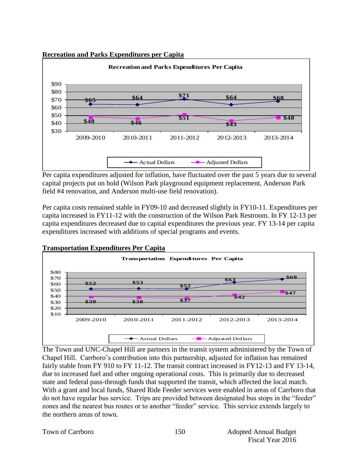#### **Recreation and Parks Expenditures per Capita**



Per capita expenditures adjusted for inflation, have fluctuated over the past 5 years due to several capital projects put on hold (Wilson Park playground equipment replacement, Anderson Park field #4 renovation, and Anderson multi-use field renovation).

Per capita costs remained stable in FY09-10 and decreased slightly in FY10-11. Expenditures per capita increased in FY11-12 with the construction of the Wilson Park Restroom. In FY 12-13 per capita expenditures decreased due to capital expenditures the previous year. FY 13-14 per capita expenditures increased with additions of special programs and events.



The Town and UNC-Chapel Hill are partners in the transit system administered by the Town of Chapel Hill. Carrboro's contribution into this partnership, adjusted for inflation has remained fairly stable from FY 910 to FY 11-12. The transit contract increased in FY12-13 and FY 13-14, due to increased fuel and other ongoing operational costs. This is primarily due to decreased state and federal pass-through funds that supported the transit, which affected the local match. With a grant and local funds, Shared Ride Feeder services were enabled in areas of Carrboro that do not have regular bus service. Trips are provided between designated bus stops in the "feeder" zones and the nearest bus routes or to another "feeder" service. This service extends largely to the northern areas of town.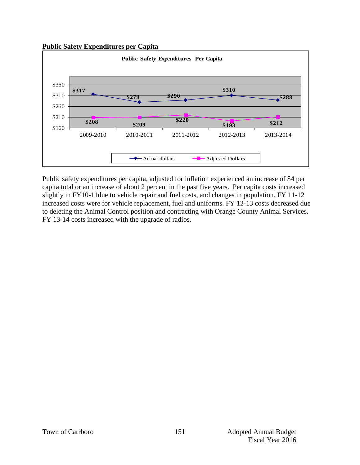**Public Safety Expenditures per Capita**



Public safety expenditures per capita, adjusted for inflation experienced an increase of \$4 per capita total or an increase of about 2 percent in the past five years. Per capita costs increased slightly in FY10-11due to vehicle repair and fuel costs, and changes in population. FY 11-12 increased costs were for vehicle replacement, fuel and uniforms. FY 12-13 costs decreased due to deleting the Animal Control position and contracting with Orange County Animal Services. FY 13-14 costs increased with the upgrade of radios.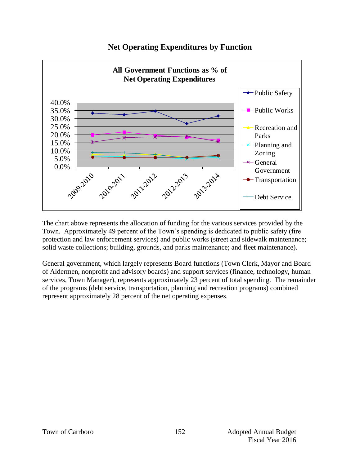

# **Net Operating Expenditures by Function**

The chart above represents the allocation of funding for the various services provided by the Town. Approximately 49 percent of the Town's spending is dedicated to public safety (fire protection and law enforcement services) and public works (street and sidewalk maintenance; solid waste collections; building, grounds, and parks maintenance; and fleet maintenance).

General government, which largely represents Board functions (Town Clerk, Mayor and Board of Aldermen, nonprofit and advisory boards) and support services (finance, technology, human services, Town Manager), represents approximately 23 percent of total spending. The remainder of the programs (debt service, transportation, planning and recreation programs) combined represent approximately 28 percent of the net operating expenses.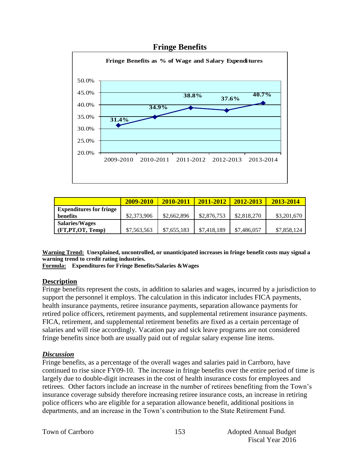#### **Fringe Benefits**



|                                | 2009-2010   | 2010-2011   | 2011-2012   | 2012-2013   | 2013-2014   |
|--------------------------------|-------------|-------------|-------------|-------------|-------------|
| <b>Expenditures for fringe</b> |             |             |             |             |             |
| benefits                       | \$2,373,906 | \$2,662,896 | \$2,876,753 | \$2,818,270 | \$3,201,670 |
| <b>Salaries/Wages</b>          |             |             |             |             |             |
| (FT,PT,OT, Temp)               | \$7,563,563 | \$7,655,183 | \$7,418,189 | \$7,486,057 | \$7,858,124 |

**Warning Trend: Unexplained, uncontrolled, or unanticipated increases in fringe benefit costs may signal a warning trend to credit rating industries.**

**Formula: Expenditures for Fringe Benefits/Salaries &Wages** 

#### **Description**

Fringe benefits represent the costs, in addition to salaries and wages, incurred by a jurisdiction to support the personnel it employs. The calculation in this indicator includes FICA payments, health insurance payments, retiree insurance payments, separation allowance payments for retired police officers, retirement payments, and supplemental retirement insurance payments. FICA, retirement, and supplemental retirement benefits are fixed as a certain percentage of salaries and will rise accordingly. Vacation pay and sick leave programs are not considered fringe benefits since both are usually paid out of regular salary expense line items.

#### *Discussion*

Fringe benefits, as a percentage of the overall wages and salaries paid in Carrboro, have continued to rise since FY09-10. The increase in fringe benefits over the entire period of time is largely due to double-digit increases in the cost of health insurance costs for employees and retirees. Other factors include an increase in the number of retirees benefiting from the Town's insurance coverage subsidy therefore increasing retiree insurance costs, an increase in retiring police officers who are eligible for a separation allowance benefit, additional positions in departments, and an increase in the Town's contribution to the State Retirement Fund.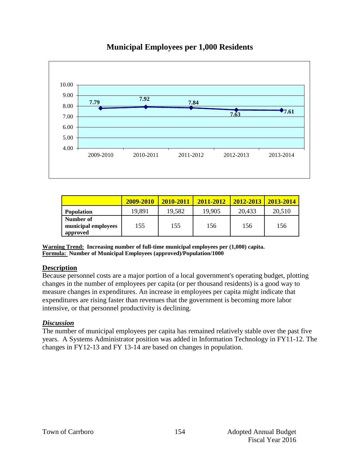

# **Municipal Employees per 1,000 Residents**

|                                              | 2009-2010 | 2010-2011 | 2011-2012 | 2012-2013 | 2013-2014 |
|----------------------------------------------|-----------|-----------|-----------|-----------|-----------|
| <b>Population</b>                            | 19,891    | 19,582    | 19,905    | 20,433    | 20,510    |
| Number of<br>municipal employees<br>approved | 155       | 155       | 156       | 156       | 156       |

**Warning Trend: Increasing number of full-time municipal employees per (1,000) capita. Formula: Number of Municipal Employees (approved)/Population/1000**

#### **Description**

Because personnel costs are a major portion of a local government's operating budget, plotting changes in the number of employees per capita (or per thousand residents) is a good way to measure changes in expenditures. An increase in employees per capita might indicate that expenditures are rising faster than revenues that the government is becoming more labor intensive, or that personnel productivity is declining.

#### *Discussion*

The number of municipal employees per capita has remained relatively stable over the past five years. A Systems Administrator position was added in Information Technology in FY11-12. The changes in FY12-13 and FY 13-14 are based on changes in population.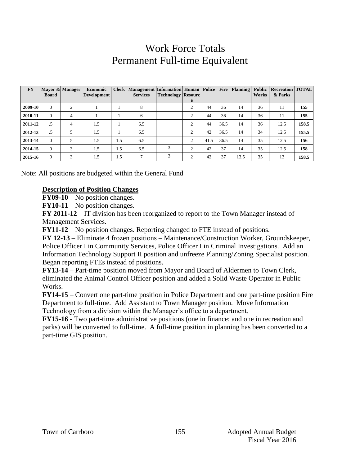# Work Force Totals Permanent Full-time Equivalent

| <b>FY</b> | <b>Board</b> | Mayor & Manager | <b>Economic</b><br><b>Development</b> |     | <b>Clerk   Management   Information   Human   Police  </b><br><b>Services</b> | <b>Technology Resourc</b> | e              |      |      |      | Works | Fire   Planning   Public   Recreation   TOTAL<br>& Parks |       |
|-----------|--------------|-----------------|---------------------------------------|-----|-------------------------------------------------------------------------------|---------------------------|----------------|------|------|------|-------|----------------------------------------------------------|-------|
| 2009-10   | $\Omega$     |                 |                                       |     | 8                                                                             |                           | 2              | 44   | 36   | 14   | 36    | 11                                                       | 155   |
| 2010-11   | $\Omega$     | 4               |                                       |     | 6                                                                             |                           | 2              | 44   | 36   | 14   | 36    | 11                                                       | 155   |
| 2011-12   | .5           | 4               | 1.5                                   |     | 6.5                                                                           |                           | 2              | 44   | 36.5 | 14   | 36    | 12.5                                                     | 158.5 |
| 2012-13   | .5           | 5               | 1.5                                   |     | 6.5                                                                           |                           | 2              | 42   | 36.5 | 14   | 34    | 12.5                                                     | 155.5 |
| 2013-14   | $\Omega$     | 5               | 1.5                                   | 1.5 | 6.5                                                                           |                           | 2              | 41.5 | 36.5 | 14   | 35    | 12.5                                                     | 156   |
| 2014-15   | $\Omega$     | 3               | 1.5                                   | 1.5 | 6.5                                                                           |                           | $\overline{c}$ | 42   | 37   | 14   | 35    | 12.5                                                     | 158   |
| 2015-16   | $\Omega$     | 3               | 1.5                                   | 1.5 | $\mathcal{I}$                                                                 | 3                         | 2              | 42   | 37   | 13.5 | 35    | 13                                                       | 158.5 |

Note: All positions are budgeted within the General Fund

#### **Description of Position Changes**

**FY09-10** – No position changes.

**FY10-11** – No position changes.

**FY 2011-12** – IT division has been reorganized to report to the Town Manager instead of Management Services.

**FY11-12** – No position changes. Reporting changed to FTE instead of positions.

**FY 12-13** – Eliminate 4 frozen positions – Maintenance/Construction Worker, Groundskeeper, Police Officer I in Community Services, Police Officer I in Criminal Investigations. Add an Information Technology Support II position and unfreeze Planning/Zoning Specialist position. Began reporting FTEs instead of positions.

**FY13-14** – Part-time position moved from Mayor and Board of Aldermen to Town Clerk, eliminated the Animal Control Officer position and added a Solid Waste Operator in Public Works.

**FY14-15** – Convert one part-time position in Police Department and one part-time position Fire Department to full-time. Add Assistant to Town Manager position. Move Information Technology from a division within the Manager's office to a department.

**FY15-16** - Two part-time administrative positions (one in finance; and one in recreation and parks) will be converted to full-time. A full-time position in planning has been converted to a part-time GIS position.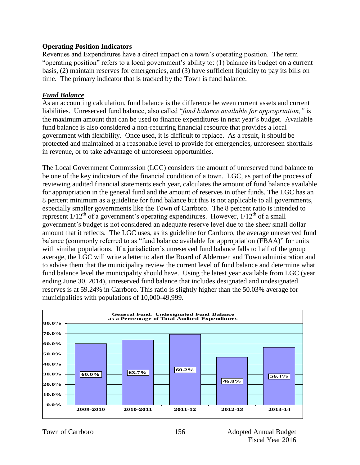#### **Operating Position Indicators**

Revenues and Expenditures have a direct impact on a town's operating position. The term "operating position" refers to a local government's ability to: (1) balance its budget on a current basis, (2) maintain reserves for emergencies, and (3) have sufficient liquidity to pay its bills on time. The primary indicator that is tracked by the Town is fund balance.

#### *Fund Balance*

As an accounting calculation, fund balance is the difference between current assets and current liabilities. Unreserved fund balance, also called "*fund balance available for appropriation,"* is the maximum amount that can be used to finance expenditures in next year's budget. Available fund balance is also considered a non-recurring financial resource that provides a local government with flexibility. Once used, it is difficult to replace. As a result, it should be protected and maintained at a reasonable level to provide for emergencies, unforeseen shortfalls in revenue, or to take advantage of unforeseen opportunities.

The Local Government Commission (LGC) considers the amount of unreserved fund balance to be one of the key indicators of the financial condition of a town. LGC, as part of the process of reviewing audited financial statements each year, calculates the amount of fund balance available for appropriation in the general fund and the amount of reserves in other funds. The LGC has an 8 percent minimum as a guideline for fund balance but this is not applicable to all governments, especially smaller governments like the Town of Carrboro. The 8 percent ratio is intended to represent  $1/12^{th}$  of a government's operating expenditures. However,  $1/12^{th}$  of a small government's budget is not considered an adequate reserve level due to the sheer small dollar amount that it reflects. The LGC uses, as its guideline for Carrboro, the average unreserved fund balance (commonly referred to as "fund balance available for appropriation (FBAA)" for units with similar populations. If a jurisdiction's unreserved fund balance falls to half of the group average, the LGC will write a letter to alert the Board of Aldermen and Town administration and to advise them that the municipality review the current level of fund balance and determine what fund balance level the municipality should have. Using the latest year available from LGC (year ending June 30, 2014), unreserved fund balance that includes designated and undesignated reserves is at 59.24% in Carrboro. This ratio is slightly higher than the 50.03% average for municipalities with populations of 10,000-49,999.

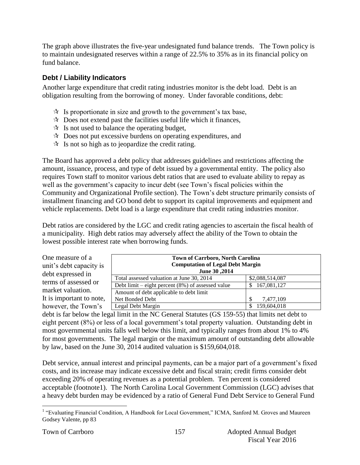The graph above illustrates the five-year undesignated fund balance trends. The Town policy is to maintain undesignated reserves within a range of 22.5% to 35% as in its financial policy on fund balance.

### **Debt / Liability Indicators**

Another large expenditure that credit rating industries monitor is the debt load. Debt is an obligation resulting from the borrowing of money. Under favorable conditions, debt:

- $\mathcal{R}$  Is proportionate in size and growth to the government's tax base,
- $\star$  Does not extend past the facilities useful life which it finances,
- $\mathcal{R}$  Is not used to balance the operating budget,
- $\lambda$  Does not put excessive burdens on operating expenditures, and
- $\mathcal{R}$  Is not so high as to jeopardize the credit rating.

The Board has approved a debt policy that addresses guidelines and restrictions affecting the amount, issuance, process, and type of debt issued by a governmental entity. The policy also requires Town staff to monitor various debt ratios that are used to evaluate ability to repay as well as the government's capacity to incur debt (see Town's fiscal policies within the Community and Organizational Profile section). The Town's debt structure primarily consists of installment financing and GO bond debt to support its capital improvements and equipment and vehicle replacements. Debt load is a large expenditure that credit rating industries monitor.

Debt ratios are considered by the LGC and credit rating agencies to ascertain the fiscal health of a municipality. High debt ratios may adversely affect the ability of the Town to obtain the lowest possible interest rate when borrowing funds.

| One measure of a<br>unit's debt capacity is<br>debt expressed in | June 30, 2014                                        | <b>Town of Carrboro, North Carolina</b><br><b>Computation of Legal Debt Margin</b> |  |  |  |  |
|------------------------------------------------------------------|------------------------------------------------------|------------------------------------------------------------------------------------|--|--|--|--|
| terms of assessed or                                             | Total assessed valuation at June 30, 2014            | \$2,088,514,087                                                                    |  |  |  |  |
|                                                                  | Debt limit – eight percent $(8\%)$ of assessed value | \$167,081,127                                                                      |  |  |  |  |
| market valuation.                                                | Amount of debt applicable to debt limit              |                                                                                    |  |  |  |  |
| It is important to note,                                         | Net Bonded Debt                                      | 7.477.109                                                                          |  |  |  |  |
| however, the Town's                                              | Legal Debt Margin                                    | 159,604,018                                                                        |  |  |  |  |

debt is far below the legal limit in the NC General Statutes (GS 159-55) that limits net debt to eight percent (8%) or less of a local government's total property valuation. Outstanding debt in most governmental units falls well below this limit, and typically ranges from about 1% to 4% for most governments. The legal margin or the maximum amount of outstanding debt allowable by law, based on the June 30, 2014 audited valuation is \$159,604,018.

Debt service, annual interest and principal payments, can be a major part of a government's fixed costs, and its increase may indicate excessive debt and fiscal strain; credit firms consider debt exceeding 20% of operating revenues as a potential problem. Ten percent is considered acceptable (footnote1). The North Carolina Local Government Commission (LGC) advises that a heavy debt burden may be evidenced by a ratio of General Fund Debt Service to General Fund

 1 "Evaluating Financial Condition, A Handbook for Local Government," ICMA, Sanford M. Groves and Maureen Godsey Valente, pp 83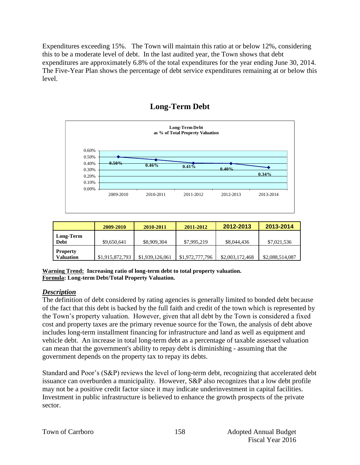Expenditures exceeding 15%. The Town will maintain this ratio at or below 12%, considering this to be a moderate level of debt. In the last audited year, the Town shows that debt expenditures are approximately 6.8% of the total expenditures for the year ending June 30, 2014. The Five-Year Plan shows the percentage of debt service expenditures remaining at or below this level.



# **Long-Term Debt**

|                              | 2009-2010       | 2010-2011       | 2011-2012       | 2012-2013       | 2013-2014       |
|------------------------------|-----------------|-----------------|-----------------|-----------------|-----------------|
| Long-Term<br>Debt            | \$9,650,641     | \$8,909,304     | \$7,995,219     | \$8,044,436     | \$7,021,536     |
| <b>Property</b><br>Valuation | \$1,915,872,793 | \$1,939,126,061 | \$1,972,777,796 | \$2,003,172,468 | \$2,088,514,087 |

**Warning Trend: Increasing ratio of long-term debt to total property valuation. Formula: Long-term Debt/Total Property Valuation.**

#### *Description*

The definition of debt considered by rating agencies is generally limited to bonded debt because of the fact that this debt is backed by the full faith and credit of the town which is represented by the Town's property valuation. However, given that all debt by the Town is considered a fixed cost and property taxes are the primary revenue source for the Town, the analysis of debt above includes long-term installment financing for infrastructure and land as well as equipment and vehicle debt. An increase in total long-term debt as a percentage of taxable assessed valuation can mean that the government's ability to repay debt is diminishing - assuming that the government depends on the property tax to repay its debts.

Standard and Poor's (S&P) reviews the level of long-term debt, recognizing that accelerated debt issuance can overburden a municipality. However, S&P also recognizes that a low debt profile may not be a positive credit factor since it may indicate underinvestment in capital facilities. Investment in public infrastructure is believed to enhance the growth prospects of the private sector.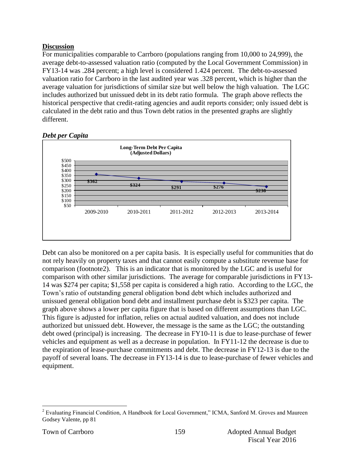#### **Discussion**

For municipalities comparable to Carrboro (populations ranging from 10,000 to 24,999), the average debt-to-assessed valuation ratio (computed by the Local Government Commission) in FY13-14 was .284 percent; a high level is considered 1.424 percent. The debt-to-assessed valuation ratio for Carrboro in the last audited year was .328 percent, which is higher than the average valuation for jurisdictions of similar size but well below the high valuation. The LGC includes authorized but unissued debt in its debt ratio formula. The graph above reflects the historical perspective that credit-rating agencies and audit reports consider; only issued debt is calculated in the debt ratio and thus Town debt ratios in the presented graphs are slightly different.



#### *Debt per Capita*

Debt can also be monitored on a per capita basis. It is especially useful for communities that do not rely heavily on property taxes and that cannot easily compute a substitute revenue base for comparison (footnote2). This is an indicator that is monitored by the LGC and is useful for comparison with other similar jurisdictions. The average for comparable jurisdictions in FY13- 14 was \$274 per capita; \$1,558 per capita is considered a high ratio. According to the LGC, the Town's ratio of outstanding general obligation bond debt which includes authorized and unissued general obligation bond debt and installment purchase debt is \$323 per capita. The graph above shows a lower per capita figure that is based on different assumptions than LGC. This figure is adjusted for inflation, relies on actual audited valuation, and does not include authorized but unissued debt. However, the message is the same as the LGC; the outstanding debt owed (principal) is increasing. The decrease in FY10-11 is due to lease-purchase of fewer vehicles and equipment as well as a decrease in population. In FY11-12 the decrease is due to the expiration of lease-purchase commitments and debt. The decrease in FY12-13 is due to the payoff of several loans. The decrease in FY13-14 is due to lease-purchase of fewer vehicles and equipment.

 $\overline{a}$ <sup>2</sup> Evaluating Financial Condition, A Handbook for Local Government," ICMA, Sanford M. Groves and Maureen Godsey Valente, pp 81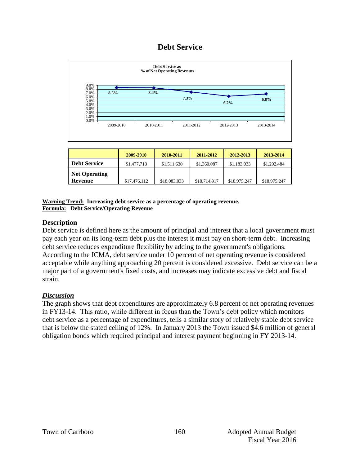# **Debt Service**



#### **Warning Trend: Increasing debt service as a percentage of operating revenue. Formula: Debt Service/Operating Revenue**

#### **Description**

Debt service is defined here as the amount of principal and interest that a local government must pay each year on its long-term debt plus the interest it must pay on short-term debt. Increasing debt service reduces expenditure flexibility by adding to the government's obligations. According to the ICMA, debt service under 10 percent of net operating revenue is considered acceptable while anything approaching 20 percent is considered excessive. Debt service can be a major part of a government's fixed costs, and increases may indicate excessive debt and fiscal strain.

#### *Discussion*

The graph shows that debt expenditures are approximately 6.8 percent of net operating revenues in FY13-14. This ratio, while different in focus than the Town's debt policy which monitors debt service as a percentage of expenditures, tells a similar story of relatively stable debt service that is below the stated ceiling of 12%. In January 2013 the Town issued \$4.6 million of general obligation bonds which required principal and interest payment beginning in FY 2013-14.